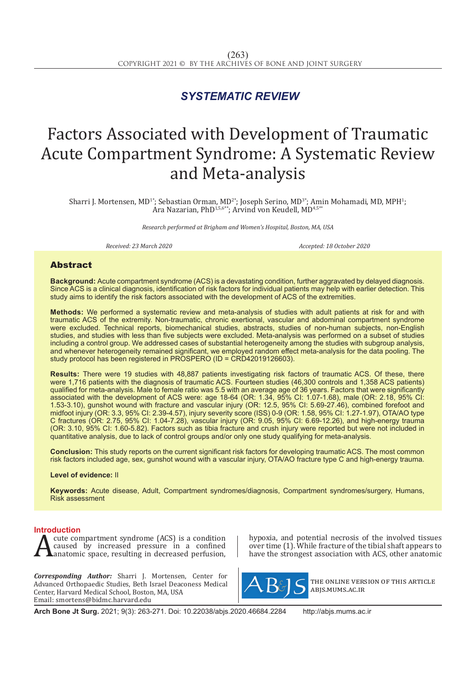## *SYSTEMATIC REVIEW*

# Factors Associated with Development of Traumatic Acute Compartment Syndrome: A Systematic Review and Meta-analysis

Sharri J. Mortensen, MD<sup>1+</sup>; Sebastian Orman, MD<sup>2+</sup>; Joseph Serino, MD<sup>3+</sup>; Amin Mohamadi, MD, MPH<sup>1</sup>; Ara Nazarian, PhD<sup>1,5,6\*\*</sup>; Arvind von Keudell, MD<sup>4,5\*</sup>\*

*Research performed at Brigham and Women's Hospital, Boston, MA, USA*

*Received: 23 March 2020 Accepted: 18 October 2020*

### Abstract

**Background:** Acute compartment syndrome (ACS) is a devastating condition, further aggravated by delayed diagnosis. Since ACS is a clinical diagnosis, identification of risk factors for individual patients may help with earlier detection. This study aims to identify the risk factors associated with the development of ACS of the extremities.

**Methods:** We performed a systematic review and meta-analysis of studies with adult patients at risk for and with traumatic ACS of the extremity. Non-traumatic, chronic exertional, vascular and abdominal compartment syndrome were excluded. Technical reports, biomechanical studies, abstracts, studies of non-human subjects, non-English studies, and studies with less than five subjects were excluded. Meta-analysis was performed on a subset of studies including a control group. We addressed cases of substantial heterogeneity among the studies with subgroup analysis, and whenever heterogeneity remained significant, we employed random effect meta-analysis for the data pooling. The study protocol has been registered in PROSPERO (ID = CRD42019126603).

**Results:** There were 19 studies with 48,887 patients investigating risk factors of traumatic ACS. Of these, there were 1,716 patients with the diagnosis of traumatic ACS. Fourteen studies (46,300 controls and 1,358 ACS patients) qualified for meta-analysis. Male to female ratio was 5.5 with an average age of 36 years. Factors that were significantly associated with the development of ACS were: age 18-64 (OR: 1.34, 95% CI: 1.07-1.68), male (OR: 2.18, 95% CI: 1.53-3.10), gunshot wound with fracture and vascular injury (OR: 12.5, 95% CI: 5.69-27.46), combined forefoot and midfoot injury (OR: 3.3, 95% CI: 2.39-4.57), injury severity score (ISS) 0-9 (OR: 1.58, 95% CI: 1.27-1.97), OTA/AO type C fractures (OR: 2.75, 95% CI: 1.04-7.28), vascular injury (OR: 9.05, 95% CI: 6.69-12.26), and high-energy trauma (OR: 3.10, 95% CI: 1.60-5.82). Factors such as tibia fracture and crush injury were reported but were not included in quantitative analysis, due to lack of control groups and/or only one study qualifying for meta-analysis.

**Conclusion:** This study reports on the current significant risk factors for developing traumatic ACS. The most common risk factors included age, sex, gunshot wound with a vascular injury, OTA/AO fracture type C and high-energy trauma.

#### **Level of evidence:** II

**Keywords:** Acute disease, Adult, Compartment syndromes/diagnosis, Compartment syndromes/surgery, Humans, Risk assessment

**Introduction**<br> **A** cute compartment syndrome (ACS) is a condition A cute compartment syndrome (ACS) is a condition<br>caused by increased pressure in a confined<br>anatomic space, resulting in decreased perfusion, caused by increased pressure in a confined anatomic space, resulting in decreased perfusion,

*Corresponding Author:* Sharri J. Mortensen, Center for Advanced Orthopaedic Studies, Beth Israel Deaconess Medical Center, Harvard Medical School, Boston, MA, USA Email: smortens@bidmc.harvard.edu

hypoxia, and potential necrosis of the involved tissues over time (1). While fracture of the tibial shaft appears to have the strongest association with ACS, other anatomic



the online version of this article abjs.mums.ac.ir

**Arch Bone Jt Surg.** 2021; 9(3): 263-271. Doi: 10.22038/abjs.2020.46684.2284 http://abjs.mums.ac.ir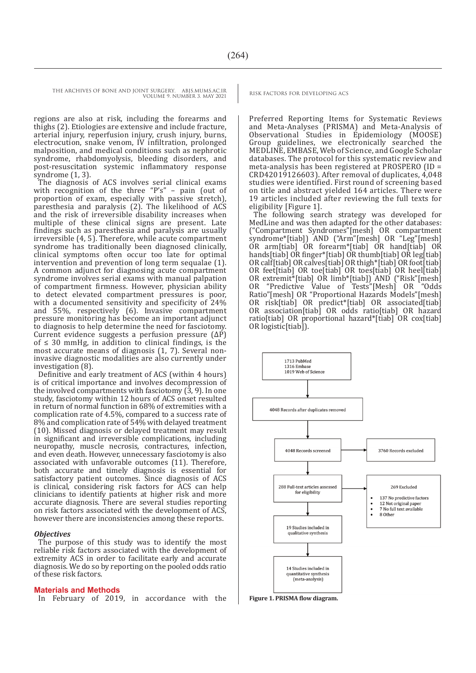regions are also at risk, including the forearms and thighs (2). Etiologies are extensive and include fracture, arterial injury, reperfusion injury, crush injury, burns, electrocution, snake venom, IV infiltration, prolonged malposition, and medical conditions such as nephrotic syndrome, rhabdomyolysis, bleeding disorders, and post-resuscitation systemic inflammatory response syndrome (1, 3).

The diagnosis of ACS involves serial clinical exams with recognition of the three "P's" – pain (out of proportion of exam, especially with passive stretch), paresthesia and paralysis (2). The likelihood of ACS and the risk of irreversible disability increases when multiple of these clinical signs are present. Late findings such as paresthesia and paralysis are usually irreversible (4, 5). Therefore, while acute compartment syndrome has traditionally been diagnosed clinically, clinical symptoms often occur too late for optimal intervention and prevention of long term sequalae (1). A common adjunct for diagnosing acute compartment syndrome involves serial exams with manual palpation of compartment firmness. However, physician ability to detect elevated compartment pressures is poor, with a documented sensitivity and specificity of 24% and 55%, respectively (6). Invasive compartment pressure monitoring has become an important adjunct to diagnosis to help determine the need for fasciotomy. Current evidence suggests a perfusion pressure  $(\Delta \vec{P})$ of ≤ 30 mmHg, in addition to clinical findings, is the most accurate means of diagnosis (1, 7). Several noninvasive diagnostic modalities are also currently under investigation (8).

Definitive and early treatment of ACS (within 4 hours) is of critical importance and involves decompression of the involved compartments with fasciotomy (3, 9). In one study, fasciotomy within 12 hours of ACS onset resulted in return of normal function in 68% of extremities with a complication rate of 4.5%, compared to a success rate of 8% and complication rate of 54% with delayed treatment (10). Missed diagnosis or delayed treatment may result in significant and irreversible complications, including neuropathy, muscle necrosis, contractures, infection, and even death. However, unnecessary fasciotomy is also associated with unfavorable outcomes (11). Therefore, both accurate and timely diagnosis is essential for satisfactory patient outcomes. Since diagnosis of ACS is clinical, considering risk factors for ACS can help clinicians to identify patients at higher risk and more accurate diagnosis. There are several studies reporting on risk factors associated with the development of ACS, however there are inconsistencies among these reports.

#### *Objectives*

The purpose of this study was to identify the most reliable risk factors associated with the development of extremity ACS in order to facilitate early and accurate diagnosis. We do so by reporting on the pooled odds ratio of these risk factors.

#### **Materials and Methods**

In February of 2019, in accordance with the **Figure 1. PRISMA flow diagram.** 

Preferred Reporting Items for Systematic Reviews and Meta-Analyses (PRISMA) and Meta-Analysis of Observational Studies in Epidemiology (MOOSE) Group guidelines, we electronically searched the MEDLINE, EMBASE, Web of Science, and Google Scholar databases. The protocol for this systematic review and meta-analysis has been registered at PROSPERO (ID = CRD42019126603). After removal of duplicates, 4,048 studies were identified. First round of screening based on title and abstract yielded 164 articles. There were 19 articles included after reviewing the full texts for eligibility [Figure 1].

The following search strategy was developed for MedLine and was then adapted for the other databases: ("Compartment Syndromes"[mesh] OR compartment syndrome\*[tiab]) AND ("Arm"[mesh] OR "Leg"[mesh] OR arm[tiab] OR forearm\*[tiab] OR hand[tiab] OR hands[tiab] OR finger\*[tiab] OR thumb[tiab] OR leg[tiab] OR calf[tiab] OR calves[tiab] OR thigh\*[tiab] OR foot[tiab] OR feet[tiab] OR toe[tiab] OR toes[tiab] OR heel[tiab] OR extremit\*[tiab] OR limb\*[tiab]) AND ("Risk"[mesh]<br>OR "Predictive Value of Tests"[Mesh] OR "Odds OR "Predictive Value of Tests"[Mesh] OR "Odds Ratio"[mesh] OR "Proportional Hazards Models"[mesh] OR risk[tiab] OR predict\*[tiab] OR associated[tiab] OR association[tiab] OR odds ratio[tiab] OR hazard ratio[tiab] OR proportional hazard\*[tiab] OR cox[tiab] OR logistic[tiab]).

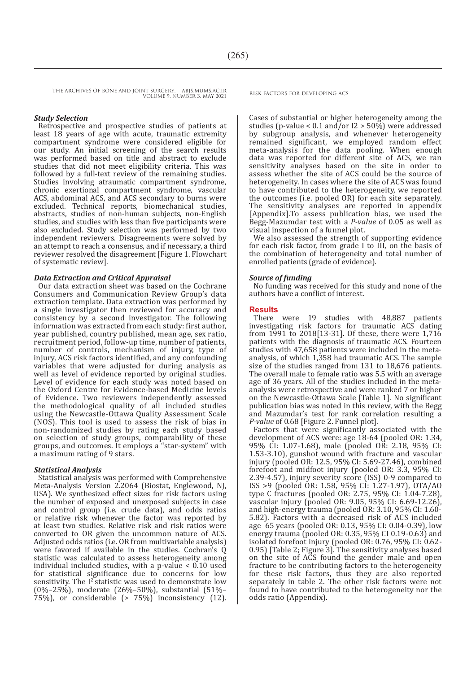#### *Study Selection*

Retrospective and prospective studies of patients at least 18 years of age with acute, traumatic extremity compartment syndrome were considered eligible for our study. An initial screening of the search results was performed based on title and abstract to exclude studies that did not meet eligibility criteria. This was followed by a full-text review of the remaining studies. Studies involving atraumatic compartment syndrome, chronic exertional compartment syndrome, vascular ACS, abdominal ACS, and ACS secondary to burns were excluded. Technical reports, biomechanical studies, abstracts, studies of non-human subjects, non-English studies, and studies with less than five participants were also excluded. Study selection was performed by two independent reviewers. Disagreements were solved by an attempt to reach a consensus, and if necessary, a third reviewer resolved the disagreement [Figure 1. Flowchart of systematic review].

#### *Data Extraction and Critical Appraisal*

Our data extraction sheet was based on the Cochrane Consumers and Communication Review Group's data extraction template. Data extraction was performed by a single investigator then reviewed for accuracy and consistency by a second investigator. The following information was extracted from each study: first author, year published, country published, mean age, sex ratio, recruitment period, follow-up time, number of patients, number of controls, mechanism of injury, type of injury, ACS risk factors identified, and any confounding variables that were adjusted for during analysis as well as level of evidence reported by original studies. Level of evidence for each study was noted based on the Oxford Centre for Evidence-based Medicine levels of Evidence. Two reviewers independently assessed the methodological quality of all included studies using the Newcastle-Ottawa Quality Assessment Scale (NOS). This tool is used to assess the risk of bias in non-randomized studies by rating each study based on selection of study groups, comparability of these groups, and outcomes. It employs a "star-system" with a maximum rating of 9 stars.

#### *Statistical Analysis*

Statistical analysis was performed with Comprehensive Meta-Analysis Version 2.2064 (Biostat, Englewood, NJ, USA). We synthesized effect sizes for risk factors using the number of exposed and unexposed subjects in case and control group (i.e. crude data), and odds ratios or relative risk whenever the factor was reported by at least two studies. Relative risk and risk ratios were converted to OR given the uncommon nature of ACS. Adjusted odds ratios (i.e. OR from multivariable analysis) were favored if available in the studies. Cochran's Q statistic was calculated to assess heterogeneity among individual included studies, with a p-value  $< 0.10$  used for statistical significance due to concerns for low sensitivity. The I<sup>2</sup> statistic was used to demonstrate low (0%–25%), moderate (26%–50%), substantial (51%– 75%), or considerable (> 75%) inconsistency (12).

Cases of substantial or higher heterogeneity among the studies (p-value <  $0.1$  and/or I2 > 50%) were addressed by subgroup analysis, and whenever heterogeneity remained significant, we employed random effect meta-analysis for the data pooling. When enough data was reported for different site of ACS, we ran sensitivity analyses based on the site in order to assess whether the site of ACS could be the source of heterogeneity. In cases where the site of ACS was found to have contributed to the heterogeneity, we reported the outcomes (i.e. pooled OR) for each site separately. The sensitivity analyses are reported in appendix [Appendix].To assess publication bias, we used the Begg-Mazumdar test with a *P-value* of 0.05 as well as visual inspection of a funnel plot.

We also assessed the strength of supporting evidence for each risk factor, from grade I to III, on the basis of the combination of heterogeneity and total number of enrolled patients (grade of evidence).

#### *Source of funding*

No funding was received for this study and none of the authors have a conflict of interest.

#### **Results**

There were 19 studies with 48,887 patients investigating risk factors for traumatic ACS dating from 1991 to 2018[13-31]. Of these, there were 1,716 patients with the diagnosis of traumatic ACS. Fourteen studies with 47,658 patients were included in the metaanalysis, of which 1,358 had traumatic ACS. The sample size of the studies ranged from 131 to 18,676 patients. The overall male to female ratio was 5.5 with an average age of 36 years. All of the studies included in the metaanalysis were retrospective and were ranked 7 or higher on the Newcastle-Ottawa Scale [Table 1]. No significant publication bias was noted in this review, with the Begg and Mazumdar's test for rank correlation resulting a *P-value* of 0.68 [Figure 2. Funnel plot].

Factors that were significantly associated with the development of ACS were: age 18-64 (pooled OR: 1.34, 95% CI: 1.07-1.68), male (pooled OR: 2.18, 95% CI: 1.53-3.10), gunshot wound with fracture and vascular injury (pooled OR: 12.5, 95% CI: 5.69-27.46), combined forefoot and midfoot injury (pooled OR: 3.3, 95% CI: 2.39-4.57), injury severity score (ISS) 0-9 compared to ISS >9 (pooled OR: 1.58, 95% CI: 1.27-1.97), OTA/AO type C fractures (pooled OR: 2.75, 95% CI: 1.04-7.28), vascular injury (pooled OR: 9.05, 95% CI: 6.69-12.26), and high-energy trauma (pooled OR: 3.10, 95% CI: 1.60- 5.82). Factors with a decreased risk of ACS included age 65 years (pooled OR: 0.13, 95% CI: 0.04-0.39), low energy trauma (pooled OR: 0.35, 95% CI 0.19-0.63) and isolated forefoot injury (pooled OR: 0.76, 95% CI: 0.62- 0.95) [Table 2; Figure 3]. The sensitivity analyses based on the site of ACS found the gender male and open fracture to be contributing factors to the heterogeneity for these risk factors, thus they are also reported separately in table 2. The other risk factors were not found to have contributed to the heterogeneity nor the odds ratio (Appendix).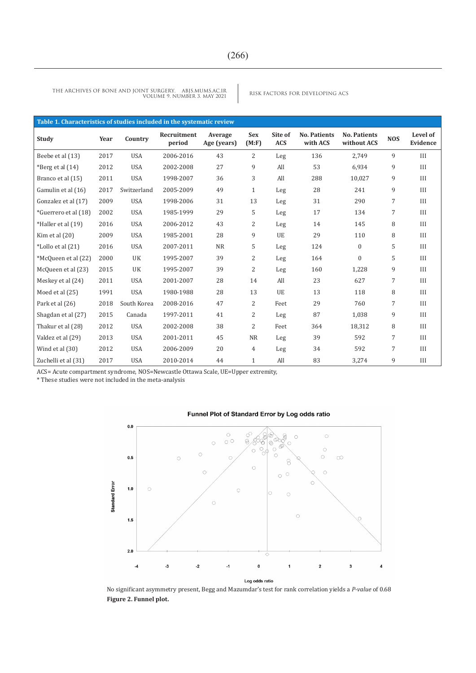RISK FACTORS FOR DEVELOPING ACS THE ARCHIVES OF BONE AND JOINT SURGERY. ABJS.MUMS.AC.IR VOLUME 9. NUMBER 3. MAY 2021

| Table 1. Characteristics of studies included in the systematic review |      |             |                       |                        |                      |                       |                                 |                                    |            |                      |  |
|-----------------------------------------------------------------------|------|-------------|-----------------------|------------------------|----------------------|-----------------------|---------------------------------|------------------------------------|------------|----------------------|--|
| Study                                                                 | Year | Country     | Recruitment<br>period | Average<br>Age (years) | <b>Sex</b><br>(M: F) | Site of<br><b>ACS</b> | <b>No. Patients</b><br>with ACS | <b>No. Patients</b><br>without ACS | <b>NOS</b> | Level of<br>Evidence |  |
| Beebe et al (13)                                                      | 2017 | <b>USA</b>  | 2006-2016             | 43                     | 2                    | Leg                   | 136                             | 2,749                              | 9          | III                  |  |
| *Berg et al $(14)$                                                    | 2012 | <b>USA</b>  | 2002-2008             | 27                     | 9                    | All                   | 53                              | 6,934                              | 9          | III                  |  |
| Branco et al (15)                                                     | 2011 | <b>USA</b>  | 1998-2007             | 36                     | 3                    | All                   | 288                             | 10,027                             | 9          | III                  |  |
| Gamulin et al (16)                                                    | 2017 | Switzerland | 2005-2009             | 49                     | $\mathbf{1}$         | Leg                   | 28                              | 241                                | 9          | III                  |  |
| Gonzalez et al (17)                                                   | 2009 | <b>USA</b>  | 1998-2006             | 31                     | 13                   | Leg                   | 31                              | 290                                | 7          | III                  |  |
| *Guerrero et al (18)                                                  | 2002 | <b>USA</b>  | 1985-1999             | 29                     | 5                    | Leg                   | 17                              | 134                                | 7          | III                  |  |
| *Haller et al (19)                                                    | 2016 | <b>USA</b>  | 2006-2012             | 43                     | 2                    | Leg                   | 14                              | 145                                | 8          | III                  |  |
| Kim et al $(20)$                                                      | 2009 | <b>USA</b>  | 1985-2001             | 28                     | 9                    | UE                    | 29                              | 110                                | 8          | III                  |  |
| *Lollo et al (21)                                                     | 2016 | <b>USA</b>  | 2007-2011             | <b>NR</b>              | 5                    | Leg                   | 124                             | $\mathbf{0}$                       | 5          | III                  |  |
| *McQueen et al (22)                                                   | 2000 | UK          | 1995-2007             | 39                     | 2                    | Leg                   | 164                             | $\mathbf{0}$                       | 5          | III                  |  |
| McQueen et al (23)                                                    | 2015 | UK          | 1995-2007             | 39                     | 2                    | Leg                   | 160                             | 1,228                              | 9          | III                  |  |
| Meskey et al (24)                                                     | 2011 | <b>USA</b>  | 2001-2007             | 28                     | 14                   | All                   | 23                              | 627                                | 7          | III                  |  |
| Moed et al (25)                                                       | 1991 | <b>USA</b>  | 1980-1988             | 28                     | 13                   | UE                    | 13                              | 118                                | 8          | III                  |  |
| Park et al (26)                                                       | 2018 | South Korea | 2008-2016             | 47                     | 2                    | Feet                  | 29                              | 760                                | 7          | III                  |  |
| Shagdan et al (27)                                                    | 2015 | Canada      | 1997-2011             | 41                     | 2                    | Leg                   | 87                              | 1,038                              | 9          | III                  |  |
| Thakur et al (28)                                                     | 2012 | <b>USA</b>  | 2002-2008             | 38                     | $\overline{2}$       | Feet                  | 364                             | 18,312                             | 8          | III                  |  |
| Valdez et al (29)                                                     | 2013 | <b>USA</b>  | 2001-2011             | 45                     | <b>NR</b>            | Leg                   | 39                              | 592                                | 7          | III                  |  |
| Wind et al (30)                                                       | 2012 | <b>USA</b>  | 2006-2009             | 20                     | $\overline{4}$       | Leg                   | 34                              | 592                                | 7          | III                  |  |
| Zuchelli et al (31)                                                   | 2017 | <b>USA</b>  | 2010-2014             | 44                     | $\mathbf{1}$         | All                   | 83                              | 3,274                              | 9          | III                  |  |

ACS= Acute compartment syndrome, NOS=Newcastle Ottawa Scale, UE=Upper extremity,

\* These studies were not included in the meta-analysis



#### Funnel Plot of Standard Error by Log odds ratio

No significant asymmetry present, Begg and Mazumdar's test for rank correlation yields a *P-value* of 0.68 **Figure 2. Funnel plot.**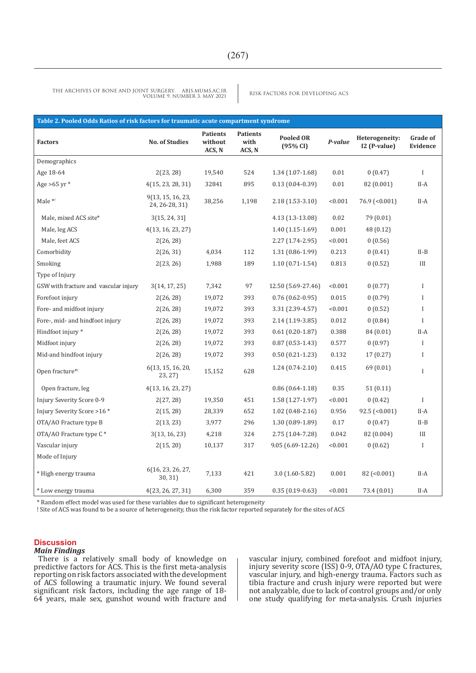| Table 2. Pooled Odds Ratios of risk factors for traumatic acute compartment syndrome |                                     |                                      |                                   |                              |         |                                |                             |  |  |  |
|--------------------------------------------------------------------------------------|-------------------------------------|--------------------------------------|-----------------------------------|------------------------------|---------|--------------------------------|-----------------------------|--|--|--|
| <b>Factors</b>                                                                       | <b>No. of Studies</b>               | <b>Patients</b><br>without<br>ACS, N | <b>Patients</b><br>with<br>ACS, N | <b>Pooled OR</b><br>(95% CI) | P-value | Heterogeneity:<br>I2 (P-value) | <b>Grade of</b><br>Evidence |  |  |  |
| Demographics                                                                         |                                     |                                      |                                   |                              |         |                                |                             |  |  |  |
| Age 18-64                                                                            | 2(23, 28)                           | 19,540                               | 524                               | $1.34(1.07-1.68)$            | 0.01    | 0(0.47)                        | $\mathbf I$                 |  |  |  |
| Age $>65$ yr $*$                                                                     | 4(15, 23, 28, 31)                   | 32841                                | 895                               | $0.13(0.04-0.39)$            | 0.01    | 82 (0.001)                     | II-A                        |  |  |  |
| Male *!                                                                              | 9(13, 15, 16, 23,<br>24, 26-28, 31) | 38,256                               | 1,198                             | $2.18(1.53-3.10)$            | < 0.001 | $76.9$ (<0.001)                | II-A                        |  |  |  |
| Male, mixed ACS site*                                                                | 3(15, 24, 31)                       |                                      |                                   | 4.13 (1.3-13.08)             | 0.02    | 79 (0.01)                      |                             |  |  |  |
| Male, leg ACS                                                                        | 4(13, 16, 23, 27)                   |                                      |                                   | $1.40(1.15-1.69)$            | 0.001   | 48 (0.12)                      |                             |  |  |  |
| Male, feet ACS                                                                       | 2(26, 28)                           |                                      |                                   | $2.27(1.74-2.95)$            | < 0.001 | 0(0.56)                        |                             |  |  |  |
| Comorbidity                                                                          | 2(26, 31)                           | 4,034                                | 112                               | $1.31(0.86-1.99)$            | 0.213   | 0(0.41)                        | $II-B$                      |  |  |  |
| Smoking                                                                              | 2(23, 26)                           | 1,988                                | 189                               | $1.10(0.71-1.54)$            | 0.813   | 0(0.52)                        | III                         |  |  |  |
| Type of Injury                                                                       |                                     |                                      |                                   |                              |         |                                |                             |  |  |  |
| GSW with fracture and vascular injury                                                | 3(14, 17, 25)                       | 7,342                                | 97                                | 12.50 (5.69-27.46)           | < 0.001 | 0(0.77)                        | I                           |  |  |  |
| Forefoot injury                                                                      | 2(26, 28)                           | 19,072                               | 393                               | $0.76(0.62-0.95)$            | 0.015   | 0(0.79)                        | $\mathbf I$                 |  |  |  |
| Fore- and midfoot injury                                                             | 2(26, 28)                           | 19,072                               | 393                               | 3.31 (2.39-4.57)             | < 0.001 | 0(0.52)                        | I                           |  |  |  |
| Fore-, mid- and hindfoot injury                                                      | 2(26, 28)                           | 19,072                               | 393                               | 2.14 (1.19-3.85)             | 0.012   | 0(0.84)                        | I                           |  |  |  |
| Hindfoot injury *                                                                    | 2(26, 28)                           | 19,072                               | 393                               | $0.61(0.20-1.87)$            | 0.388   | 84 (0.01)                      | II-A                        |  |  |  |
| Midfoot injury                                                                       | 2(26, 28)                           | 19,072                               | 393                               | $0.87(0.53-1.43)$            | 0.577   | 0(0.97)                        | I                           |  |  |  |
| Mid-and hindfoot injury                                                              | 2(26, 28)                           | 19,072                               | 393                               | $0.50(0.21-1.23)$            | 0.132   | 17(0.27)                       | I                           |  |  |  |
| Open fracture*!                                                                      | 6(13, 15, 16, 20,<br>23, 27)        | 15,152                               | 628                               | $1.24(0.74-2.10)$            | 0.415   | 69 (0.01)                      | I                           |  |  |  |
| Open fracture, leg                                                                   | 4(13, 16, 23, 27)                   |                                      |                                   | $0.86(0.64-1.18)$            | 0.35    | 51(0.11)                       |                             |  |  |  |
| Injury Severity Score 0-9                                                            | 2(27, 28)                           | 19,350                               | 451                               | $1.58(1.27-1.97)$            | < 0.001 | 0(0.42)                        | $\mathbf I$                 |  |  |  |
| Injury Severity Score > 16 *                                                         | 2(15, 28)                           | 28,339                               | 652                               | $1.02(0.48-2.16)$            | 0.956   | $92.5$ (<0.001)                | $II-A$                      |  |  |  |
| OTA/AO Fracture type B                                                               | 2(13, 23)                           | 3,977                                | 296                               | $1.30(0.89-1.89)$            | 0.17    | 0(0.47)                        | $II-B$                      |  |  |  |
| OTA/AO Fracture type C*                                                              | 3(13, 16, 23)                       | 4,218                                | 324                               | 2.75 (1.04-7.28)             | 0.042   | 82 (0.004)                     | III                         |  |  |  |
| Vascular injury                                                                      | 2(15, 20)                           | 10,137                               | 317                               | 9.05 (6.69-12.26)            | < 0.001 | 0(0.62)                        | I                           |  |  |  |
| Mode of Injury                                                                       |                                     |                                      |                                   |                              |         |                                |                             |  |  |  |
| * High energy trauma                                                                 | 6(16, 23, 26, 27,<br>30, 31)        | 7,133                                | 421                               | $3.0(1.60-5.82)$             | 0.001   | $82$ (< $0.001$ )              | $II-A$                      |  |  |  |
| * Low energy trauma                                                                  | 4(23, 26, 27, 31)                   | 6,300                                | 359                               | $0.35(0.19-0.63)$            | < 0.001 | 73.4 (0.01)                    | II-A                        |  |  |  |

\* Random effect model was used for these variables due to significant heterogeneity

! Site of ACS was found to be a source of heterogeneity, thus the risk factor reported separately for the sites of ACS

#### **Discussion**

#### *Main Findings*

There is a relatively small body of knowledge on predictive factors for ACS. This is the first meta-analysis reporting on risk factors associated with the development of ACS following a traumatic injury. We found several significant risk factors, including the age range of 18-64 years, male sex, gunshot wound with fracture and vascular injury, combined forefoot and midfoot injury, injury severity score (ISS) 0-9, OTA/AO type C fractures, vascular injury, and high-energy trauma. Factors such as tibia fracture and crush injury were reported but were not analyzable, due to lack of control groups and/or only one study qualifying for meta-analysis. Crush injuries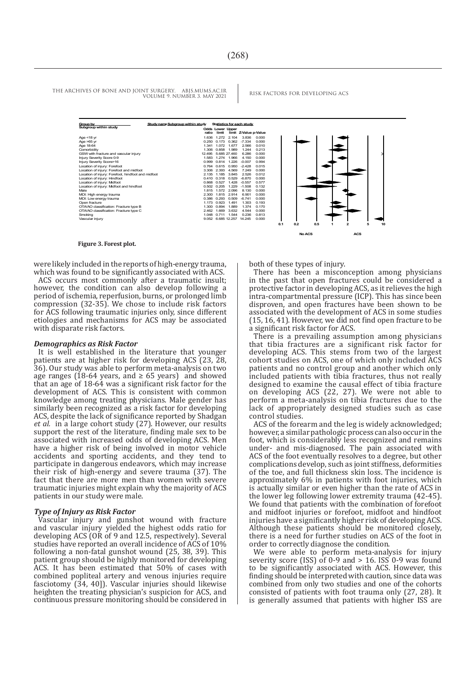THE ARCHIVES OF BONE AND JOINT SURGERY. ABJS.MUMS.AC.IR RISK FACTORS FOR DEVELOPING ACS

VOLUME 9. NUMBER 3. MAY 2021

| Group by                                           | Study name Subgroup within study |                                  |              | <b>Statistics for each study</b> |       |     |        |     |   |                |  |
|----------------------------------------------------|----------------------------------|----------------------------------|--------------|----------------------------------|-------|-----|--------|-----|---|----------------|--|
| Subgroup within study                              | ratio                            | <b>Odds Lower Upper</b><br>limit |              | limit Z-Value p-Value            |       |     |        |     |   |                |  |
| Age $<$ 18 yr                                      | 1636                             | 1 2 7 2                          | 2 104        | 3836                             | 0.000 |     |        |     |   |                |  |
| Age >65 yr                                         | 0.250                            | 0.173                            | 0.362        | $-7.334$                         | 0.000 |     |        |     |   |                |  |
| Age 18-64                                          | 1.341                            | 1.072                            | 1.677        | 2.566                            | 0.010 |     |        |     |   |                |  |
| Comorbidity                                        | 1.306                            | 0.858                            | 1.989        | 1.244                            | 0.213 |     |        |     |   |                |  |
| GSW with fracture and vascular injury              | 12.495                           |                                  | 5 685 27 460 | 6.286                            | 0.000 |     |        |     |   |                |  |
| Injury Severity Score 0-9                          | 1.583                            | 1.274                            | 1.966        | 4.150                            | 0.000 |     |        |     |   |                |  |
| Injury Severity Score>16                           | 0.999                            | 0.814                            | 1 2 2 6      | $-0.007$                         | 0.994 |     |        |     |   |                |  |
| Location of injury: Forefoot                       | 0.764                            |                                  | 0.615 0.950  | $-2.428$                         | 0.015 |     |        |     |   |                |  |
| Location of injury: Forefoot and midfoot           | 3.306                            | 2.393                            | 4.569        | 7.249                            | 0.000 |     |        |     |   |                |  |
| Location of injury: Forefoot, hindfoot and midfoot | 2 135                            | 1 1 8 5                          | 3845         | 2.526                            | 0.012 |     |        |     |   |                |  |
| Location of injury: Hindfoot                       |                                  | 0.410 0.318 0.529                |              | $-6.870$                         | 0.000 |     |        |     |   |                |  |
| Location of injury: Midfoot                        |                                  | 0.868 0.527                      | 1.428        | $-0.557$                         | 0.577 |     |        |     |   |                |  |
| Location of injury: Midfoot and hindfoot           |                                  | 0.502 0.205                      | 1 2 2 9      | $-1.508$                         | 0.132 |     |        |     |   |                |  |
| Male                                               | 1.815                            |                                  | 1.572 2.096  | 8 130                            | 0.000 |     |        |     |   |                |  |
| MOI: High energy trauma                            | 2.300                            | 1.815                            | 2.914        | 6.901                            | 0.000 |     |        |     |   |                |  |
| MOI: Low energy trauma                             | 0.386                            | 0.293                            | 0.509        | $-6741$                          | 0.000 |     |        |     |   |                |  |
| Open fracture                                      | 1 173                            | 0.923                            | 1491         | 1.303                            | 0.193 |     |        |     |   |                |  |
| OTA/AO classification: Fracture type B             | 1.300                            | 0.894                            | 1.889        | 1.374                            | 0.170 |     |        |     |   |                |  |
| OTA/AO classification: Fracture type C             | 2.462                            | 1669                             | 3632         | 4.544                            | 0.000 |     |        |     |   |                |  |
| Smoking                                            |                                  | 1.048 0.711 1.544                |              | 0.236                            | 0.813 |     |        |     |   |                |  |
| Vascular injury                                    |                                  | 9.052 6.685 12.257               |              | 14.245                           | 0.000 |     |        |     |   |                |  |
|                                                    |                                  |                                  |              |                                  |       | 0.1 | 0.2    | 0.5 | 1 | $\overline{2}$ |  |
|                                                    |                                  |                                  |              |                                  |       |     | No ACS |     |   | <b>ACS</b>     |  |

#### **Figure 3. Forest plot.**

were likely included in the reports of high-energy trauma, which was found to be significantly associated with ACS.

ACS occurs most commonly after a traumatic insult; however, the condition can also develop following a period of ischemia, reperfusion, burns, or prolonged limb compression (32-35). We chose to include risk factors for ACS following traumatic injuries only, since different etiologies and mechanisms for ACS may be associated with disparate risk factors.

#### *Demographics as Risk Factor*

It is well established in the literature that younger patients are at higher risk for developing ACS (23, 28, 36). Our study was able to perform meta-analysis on two age ranges (18-64 years, and  $\geq$  65 years) and showed that an age of 18-64 was a significant risk factor for the development of ACS. This is consistent with common knowledge among treating physicians. Male gender has similarly been recognized as a risk factor for developing ACS, despite the lack of significance reported by Shadgan *et al.* in a large cohort study (27). However, our results support the rest of the literature, finding male sex to be associated with increased odds of developing ACS. Men have a higher risk of being involved in motor vehicle accidents and sporting accidents, and they tend to participate in dangerous endeavors, which may increase their risk of high-energy and severe trauma (37). The fact that there are more men than women with severe traumatic injuries might explain why the majority of ACS patients in our study were male.

#### *Type of Injury as Risk Factor*

Vascular injury and gunshot wound with fracture and vascular injury yielded the highest odds ratio for developing ACS (OR of 9 and 12.5, respectively). Several studies have reported an overall incidence of ACS of 10% following a non-fatal gunshot wound (25, 38, 39). This patient group should be highly monitored for developing ACS. It has been estimated that 50% of cases with combined popliteal artery and venous injuries require fasciotomy (34, 40]). Vascular injuries should likewise heighten the treating physician's suspicion for ACS, and continuous pressure monitoring should be considered in both of these types of injury.

There has been a misconception among physicians in the past that open fractures could be considered a protective factor in developing ACS, as it relieves the high intra-compartmental pressure (ICP). This has since been disproven, and open fractures have been shown to be associated with the development of ACS in some studies (15, 16, 41). However, we did not find open fracture to be a significant risk factor for ACS.

There is a prevailing assumption among physicians that tibia fractures are a significant risk factor for developing ACS. This stems from two of the largest cohort studies on ACS, one of which only included ACS patients and no control group and another which only included patients with tibia fractures, thus not really designed to examine the causal effect of tibia fracture on developing ACS (22, 27). We were not able to perform a meta-analysis on tibia fractures due to the lack of appropriately designed studies such as case control studies.

ACS of the forearm and the leg is widely acknowledged; however, a similar pathologic process can also occur in the foot, which is considerably less recognized and remains under- and mis-diagnosed. The pain associated with ACS of the foot eventually resolves to a degree, but other complications develop, such as joint stiffness, deformities of the toe, and full thickness skin loss. The incidence is approximately 6% in patients with foot injuries, which is actually similar or even higher than the rate of ACS in the lower leg following lower extremity trauma (42-45). We found that patients with the combination of forefoot and midfoot injuries or forefoot, midfoot and hindfoot injuries have a significantly higher risk of developing ACS. Although these patients should be monitored closely, there is a need for further studies on ACS of the foot in order to correctly diagnose the condition.

We were able to perform meta-analysis for injury severity score (ISS) of  $0-9$  and  $> 16$ . ISS  $0-9$  was found to be significantly associated with ACS. However, this finding should be interpreted with caution, since data was combined from only two studies and one of the cohorts consisted of patients with foot trauma only (27, 28). It is generally assumed that patients with higher ISS are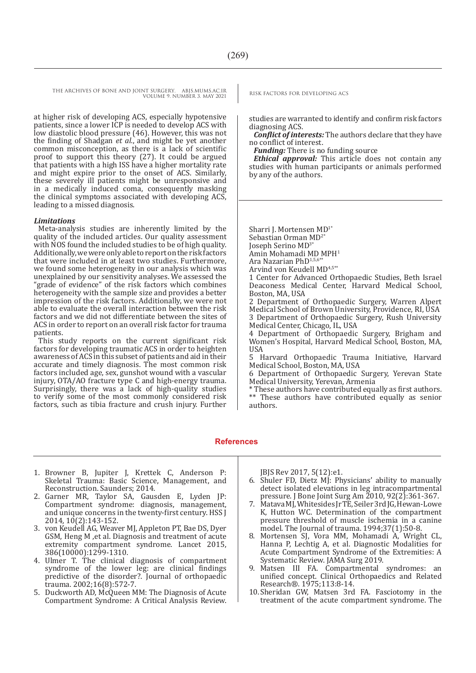at higher risk of developing ACS, especially hypotensive patients, since a lower ICP is needed to develop ACS with low diastolic blood pressure (46). However, this was not the finding of Shadgan *et al.*, and might be yet another common misconception, as there is a lack of scientific proof to support this theory (27). It could be argued that patients with a high ISS have a higher mortality rate and might expire prior to the onset of ACS. Similarly, these severely ill patients might be unresponsive and in a medically induced coma, consequently masking the clinical symptoms associated with developing ACS, leading to a missed diagnosis.

#### *Limitations*

Meta-analysis studies are inherently limited by the quality of the included articles. Our quality assessment with NOS found the included studies to be of high quality. Additionally, we were only able to report on the risk factors that were included in at least two studies. Furthermore, we found some heterogeneity in our analysis which was unexplained by our sensitivity analyses. We assessed the "grade of evidence" of the risk factors which combines heterogeneity with the sample size and provides a better impression of the risk factors. Additionally, we were not able to evaluate the overall interaction between the risk factors and we did not differentiate between the sites of ACS in order to report on an overall risk factor for trauma patients.

This study reports on the current significant risk factors for developing traumatic ACS in order to heighten awareness of ACS in this subset of patients and aid in their accurate and timely diagnosis. The most common risk factors included age, sex, gunshot wound with a vascular injury, OTA/AO fracture type C and high-energy trauma. Surprisingly, there was a lack of high-quality studies to verify some of the most commonly considered risk factors, such as tibia fracture and crush injury. Further

studies are warranted to identify and confirm risk factors diagnosing ACS.

*Conflict of interests:* The authors declare that they have no conflict of interest.

*Funding:* There is no funding source

*Ethical approval:* This article does not contain any studies with human participants or animals performed by any of the authors.

Sharri J. Mortensen MD1\* Sebastian Orman MD2\* Joseph Serino MD3\* Amin Mohamadi MD MPH<sup>1</sup> Ara Nazarian PhD<sup>1,5,6</sup> Arvind von Keudell MD4,5\*\*

1 Center for Advanced Orthopaedic Studies, Beth Israel Deaconess Medical Center, Harvard Medical School, Boston, MA, USA

2 Department of Orthopaedic Surgery, Warren Alpert Medical School of Brown University, Providence, RI, USA 3 Department of Orthopaedic Surgery, Rush University Medical Center, Chicago, IL, USA

4 Department of Orthopaedic Surgery, Brigham and Women's Hospital, Harvard Medical School, Boston, MA, USA

5 Harvard Orthopaedic Trauma Initiative, Harvard Medical School, Boston, MA, USA

6 Department of Orthopaedic Surgery, Yerevan State Medical University, Yerevan, Armenia

\* These authors have contributed equally as first authors. \*\* These authors have contributed equally as senior authors.

#### **References**

- 1. Browner B, Jupiter J, Krettek C, Anderson P: Skeletal Trauma: Basic Science, Management, and Reconstruction. Saunders; 2014.
- 2. Garner MR, Taylor SA, Gausden E, Lyden JP: Compartment syndrome: diagnosis, management, and unique concerns in the twenty-first century. HSS J 2014, 10(2):143-152.
- 3. von Keudell AG, Weaver MJ, Appleton PT, Bae DS, Dyer GSM, Heng M ,et al. Diagnosis and treatment of acute extremity compartment syndrome. Lancet 2015, 386(10000):1299-1310.
- 4. Ulmer T. The clinical diagnosis of compartment syndrome of the lower leg: are clinical findings predictive of the disorder?. Journal of orthopaedic trauma. 2002;16(8):572-7.
- 5. Duckworth AD, McQueen MM: The Diagnosis of Acute Compartment Syndrome: A Critical Analysis Review.

JBJS Rev 2017, 5(12):e1.

- 6. Shuler FD, Dietz MJ: Physicians' ability to manually detect isolated elevations in leg intracompartmental pressure. J Bone Joint Surg Am 2010, 92(2):361-367.
- 7. Matava MJ, Whitesides Jr TE, Seiler 3rd JG, Hewan-Lowe K, Hutton WC. Determination of the compartment pressure threshold of muscle ischemia in a canine model. The Journal of trauma. 1994;37(1):50-8.
- 8. Mortensen SJ, Vora MM, Mohamadi A, Wright CL, Hanna P, Lechtig A, et al. Diagnostic Modalities for Acute Compartment Syndrome of the Extremities: A Systematic Review. JAMA Surg 2019.
- 9. Matsen III FA. Compartmental syndromes: an unified concept. Clinical Orthopaedics and Related Research®. 1975;113:8-14.
- 10.Sheridan GW, Matsen 3rd FA. Fasciotomy in the treatment of the acute compartment syndrome. The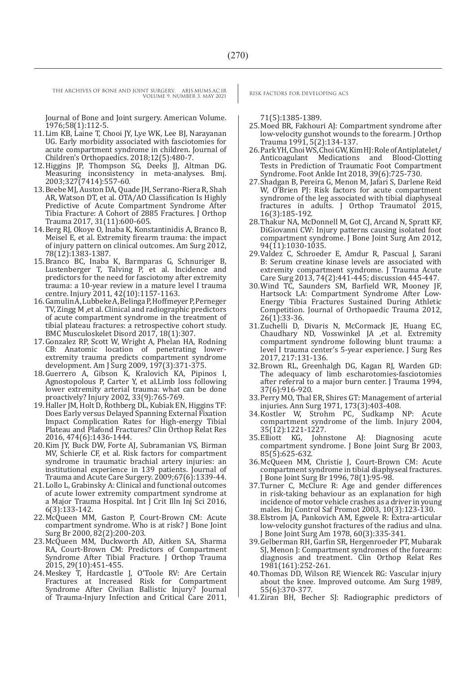THE ARCHIVES OF BONE AND JOINT SURGERY. ABJS.MUMS.AC.IR RISK FACTORS FOR DEVELOPING ACS

VOLUME 9. NUMBER 3. MAY 2021

Journal of Bone and Joint surgery. American Volume. 1976;58(1):112-5.

- 11.Lim KB, Laine T, Chooi JY, Lye WK, Lee BJ, Narayanan UG. Early morbidity associated with fasciotomies for acute compartment syndrome in children. Journal of Children's Orthopaedics. 2018;12(5):480-7.
- 12.Higgins JP, Thompson SG, Deeks JJ, Altman DG. Measuring inconsistency in meta-analyses. Bmj. 2003;327(7414):557-60.
- 13.Beebe MJ, Auston DA, Quade JH, Serrano-Riera R, Shah AR, Watson DT, et al. OTA/AO Classification Is Highly Predictive of Acute Compartment Syndrome After Tibia Fracture: A Cohort of 2885 Fractures. J Orthop Trauma 2017, 31(11):600-605.
- 14.Berg RJ, Okoye O, Inaba K, Konstantinidis A, Branco B, Meisel E, et al. Extremity firearm trauma: the impact of injury pattern on clinical outcomes. Am Surg 2012, 78(12):1383-1387.
- 15.Branco BC, Inaba K, Barmparas G, Schnuriger B, Lustenberger T, Talving P, et al. Incidence and predictors for the need for fasciotomy after extremity trauma: a 10-year review in a mature level I trauma centre. Injury 2011, 42(10):1157-1163.
- 16.Gamulin A, Lubbeke A, Belinga P, Hoffmeyer P, Perneger TV, Zingg M ,et al. Clinical and radiographic predictors of acute compartment syndrome in the treatment of tibial plateau fractures: a retrospective cohort study. BMC Musculoskelet Disord 2017, 18(1):307.
- 17.Gonzalez RP, Scott W, Wright A, Phelan HA, Rodning CB: Anatomic location of penetrating lowerextremity trauma predicts compartment syndrome development. Am J Surg 2009, 197(3):371-375.
- 18.Guerrero A, Gibson K, Kralovich KA, Pipinos I, Agnostopolous P, Carter Y, et al.Limb loss following lower extremity arterial trauma: what can be done proactively? Injury 2002, 33(9):765-769.
- 19.Haller JM, Holt D, Rothberg DL, Kubiak EN, Higgins TF: Does Early versus Delayed Spanning External Fixation Impact Complication Rates for High-energy Tibial Plateau and Plafond Fractures? Clin Orthop Relat Res 2016, 474(6):1436-1444.
- 20.Kim JY, Buck DW, Forte AJ, Subramanian VS, Birman MV, Schierle CF, et al. Risk factors for compartment syndrome in traumatic brachial artery injuries: an institutional experience in 139 patients. Journal of Trauma and Acute Care Surgery. 2009;67(6):1339-44.
- 21.Lollo L, Grabinsky A: Clinical and functional outcomes of acute lower extremity compartment syndrome at a Major Trauma Hospital. Int J Crit Illn Inj Sci 2016, 6(3):133-142.
- 22.McQueen MM, Gaston P, Court-Brown CM: Acute compartment syndrome. Who is at risk? J Bone Joint Surg Br 2000, 82(2):200-203.
- 23.McQueen MM, Duckworth AD, Aitken SA, Sharma RA, Court-Brown CM: Predictors of Compartment Syndrome After Tibial Fracture. J Orthop Trauma 2015, 29(10):451-455.
- 24.Meskey T, Hardcastle J, O'Toole RV: Are Certain Fractures at Increased Risk for Compartment Syndrome After Civilian Ballistic Injury? Journal of Trauma-Injury Infection and Critical Care 2011,

71(5):1385-1389.

- 25.Moed BR, Fakhouri AJ: Compartment syndrome after low-velocity gunshot wounds to the forearm. J Orthop Trauma 1991, 5(2):134-137.
- 26.Park YH, Choi WS, Choi GW, Kim HJ: Role of Antiplatelet/ Anticoagulant Medications and Blood-Clotting Tests in Prediction of Traumatic Foot Compartment Syndrome. Foot Ankle Int 2018, 39(6):725-730.
- 27.Shadgan B, Pereira G, Menon M, Jafari S, Darlene Reid W, O'Brien PJ: Risk factors for acute compartment syndrome of the leg associated with tibial diaphyseal fractures in adults. J Orthop Traumatol 2015, 16(3):185-192.
- 28.Thakur NA, McDonnell M, Got CJ, Arcand N, Spratt KF, DiGiovanni CW: Injury patterns causing isolated foot compartment syndrome. J Bone Joint Surg Am 2012, 94(11):1030-1035.
- 29.Valdez C, Schroeder E, Amdur R, Pascual J, Sarani B: Serum creatine kinase levels are associated with extremity compartment syndrome. J Trauma Acute Care Surg 2013, 74(2):441-445; discussion 445-447.
- 30.Wind TC, Saunders SM, Barfield WR, Mooney JF, Hartsock LA: Compartment Syndrome After Low-Energy Tibia Fractures Sustained During Athletic Competition. Journal of Orthopaedic Trauma 2012, 26(1):33-36.
- 31.Zuchelli D, Divaris N, McCormack JE, Huang EC, Chaudhary ND, Vosswinkel JA ,et al. Extremity compartment syndrome following blunt trauma: a level I trauma center's 5-year experience. J Surg Res 2017, 217:131-136.
- 32.Brown RL, Greenhalgh DG, Kagan RJ, Warden GD: The adequacy of limb escharotomies-fasciotomies after referral to a major burn center. J Trauma 1994, 37(6):916-920.
- 33.Perry MO, Thal ER, Shires GT: Management of arterial injuries. Ann Surg 1971, 173(3):403-408.
- 34.Kostler W, Strohm PC, Sudkamp NP: Acute compartment syndrome of the limb. Injury 2004, 35(12):1221-1227.
- 35.Elliott KG, Johnstone AJ: Diagnosing acute compartment syndrome. J Bone Joint Surg Br 2003, 85(5):625-632.
- 36.McQueen MM, Christie J, Court-Brown CM: Acute compartment syndrome in tibial diaphyseal fractures. J Bone Joint Surg Br 1996, 78(1):95-98.
- 37.Turner C, McClure R: Age and gender differences in risk-taking behaviour as an explanation for high incidence of motor vehicle crashes as a driver in young males. Inj Control Saf Promot 2003, 10(3):123-130.
- 38.Elstrom JA, Pankovich AM, Egwele R: Extra-articular low-velocity gunshot fractures of the radius and ulna. J Bone Joint Surg Am 1978, 60(3):335-341.
- 39.Gelberman RH, Garfin SR, Hergenroeder PT, Mubarak SJ, Menon J: Compartment syndromes of the forearm: diagnosis and treatment. Clin Orthop Relat Res 1981(161):252-261.
- 40.Thomas DD, Wilson RF, Wiencek RG: Vascular injury about the knee. Improved outcome. Am Surg 1989, 55(6):370-377.
- 41.Ziran BH, Becher SJ: Radiographic predictors of